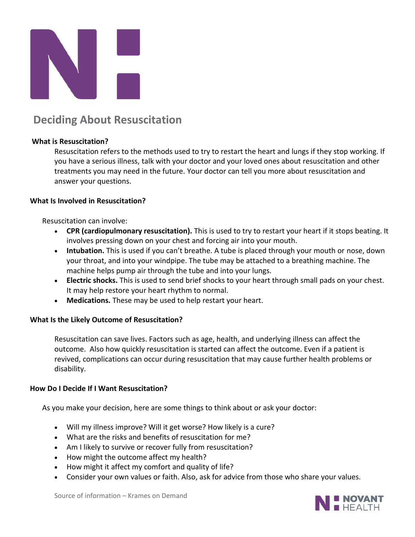

# **Deciding About Resuscitation**

#### **What is Resuscitation?**

Resuscitation refers to the methods used to try to restart the heart and lungs if they stop working. If you have a serious illness, talk with your doctor and your loved ones about resuscitation and other treatments you may need in the future. Your doctor can tell you more about resuscitation and answer your questions.

#### **What Is Involved in Resuscitation?**

Resuscitation can involve:

- **CPR (cardiopulmonary resuscitation).** This is used to try to restart your heart if it stops beating. It involves pressing down on your chest and forcing air into your mouth.
- **Intubation.** This is used if you can't breathe. A tube is placed through your mouth or nose, down your throat, and into your windpipe. The tube may be attached to a breathing machine. The machine helps pump air through the tube and into your lungs.
- **Electric shocks.** This is used to send brief shocks to your heart through small pads on your chest. It may help restore your heart rhythm to normal.
- **Medications.** These may be used to help restart your heart.

#### **What Is the Likely Outcome of Resuscitation?**

Resuscitation can save lives. Factors such as age, health, and underlying illness can affect the outcome. Also how quickly resuscitation is started can affect the outcome. Even if a patient is revived, complications can occur during resuscitation that may cause further health problems or disability.

#### **How Do I Decide If I Want Resuscitation?**

As you make your decision, here are some things to think about or ask your doctor:

- Will my illness improve? Will it get worse? How likely is a cure?
- What are the risks and benefits of resuscitation for me?
- Am I likely to survive or recover fully from resuscitation?
- How might the outcome affect my health?
- How might it affect my comfort and quality of life?
- Consider your own values or faith. Also, ask for advice from those who share your values.